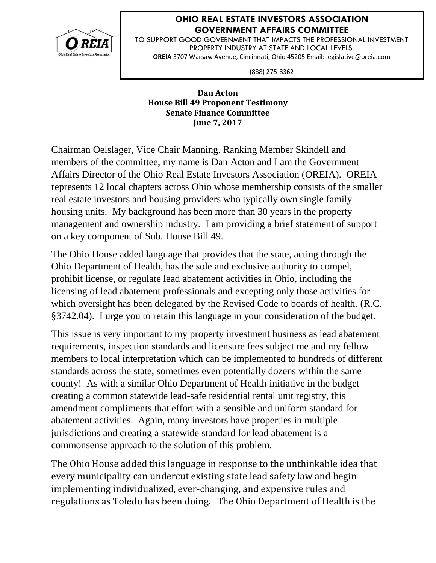

## **OHIO REAL ESTATE INVESTORS ASSOCIATION GOVERNMENT AFFAIRS COMMITTEE**

TO SUPPORT GOOD GOVERNMENT THAT IMPACTS THE PROFESSIONAL INVESTMENT PROPERTY INDUSTRY AT STATE AND LOCAL LEVELS. **OREIA** 3707 Warsaw Avenue, Cincinnati, Ohio 45205 Email: legislative@oreia.com

(888) 275-8362

## **Dan Acton House Bill 49 Proponent Testimony Senate Finance Committee June 7, 2017**

Chairman Oelslager, Vice Chair Manning, Ranking Member Skindell and members of the committee, my name is Dan Acton and I am the Government Affairs Director of the Ohio Real Estate Investors Association (OREIA). OREIA represents 12 local chapters across Ohio whose membership consists of the smaller real estate investors and housing providers who typically own single family housing units. My background has been more than 30 years in the property management and ownership industry. I am providing a brief statement of support on a key component of Sub. House Bill 49.

The Ohio House added language that provides that the state, acting through the Ohio Department of Health, has the sole and exclusive authority to compel, prohibit license, or regulate lead abatement activities in Ohio, including the licensing of lead abatement professionals and excepting only those activities for which oversight has been delegated by the Revised Code to boards of health. (R.C. §3742.04). I urge you to retain this language in your consideration of the budget.

This issue is very important to my property investment business as lead abatement requirements, inspection standards and licensure fees subject me and my fellow members to local interpretation which can be implemented to hundreds of different standards across the state, sometimes even potentially dozens within the same county! As with a similar Ohio Department of Health initiative in the budget creating a common statewide lead-safe residential rental unit registry, this amendment compliments that effort with a sensible and uniform standard for abatement activities. Again, many investors have properties in multiple jurisdictions and creating a statewide standard for lead abatement is a commonsense approach to the solution of this problem.

The Ohio House added this language in response to the unthinkable idea that every municipality can undercut existing state lead safety law and begin implementing individualized, ever-changing, and expensive rules and regulations as Toledo has been doing. The Ohio Department of Health is the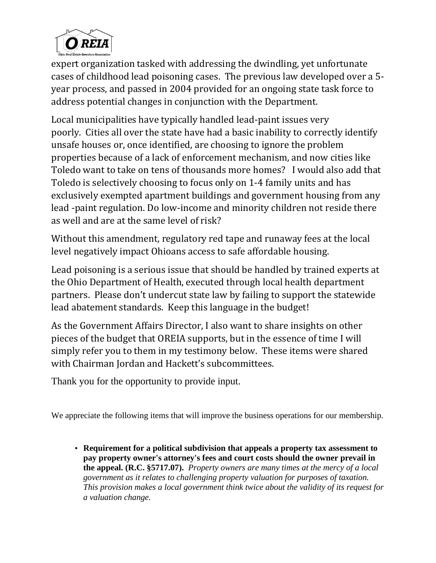

expert organization tasked with addressing the dwindling, yet unfortunate cases of childhood lead poisoning cases. The previous law developed over a 5 year process, and passed in 2004 provided for an ongoing state task force to address potential changes in conjunction with the Department.

Local municipalities have typically handled lead-paint issues very poorly. Cities all over the state have had a basic inability to correctly identify unsafe houses or, once identified, are choosing to ignore the problem properties because of a lack of enforcement mechanism, and now cities like Toledo want to take on tens of thousands more homes? I would also add that Toledo is selectively choosing to focus only on 1-4 family units and has exclusively exempted apartment buildings and government housing from any lead -paint regulation. Do low-income and minority children not reside there as well and are at the same level of risk?

Without this amendment, regulatory red tape and runaway fees at the local level negatively impact Ohioans access to safe affordable housing.

Lead poisoning is a serious issue that should be handled by trained experts at the Ohio Department of Health, executed through local health department partners. Please don't undercut state law by failing to support the statewide lead abatement standards. Keep this language in the budget!

As the Government Affairs Director, I also want to share insights on other pieces of the budget that OREIA supports, but in the essence of time I will simply refer you to them in my testimony below. These items were shared with Chairman Jordan and Hackett's subcommittees.

Thank you for the opportunity to provide input.

We appreciate the following items that will improve the business operations for our membership.

• **Requirement for a political subdivision that appeals a property tax assessment to pay property owner's attorney's fees and court costs should the owner prevail in the appeal. (R.C. §5717.07).** *Property owners are many times at the mercy of a local government as it relates to challenging property valuation for purposes of taxation. This provision makes a local government think twice about the validity of its request for a valuation change.*